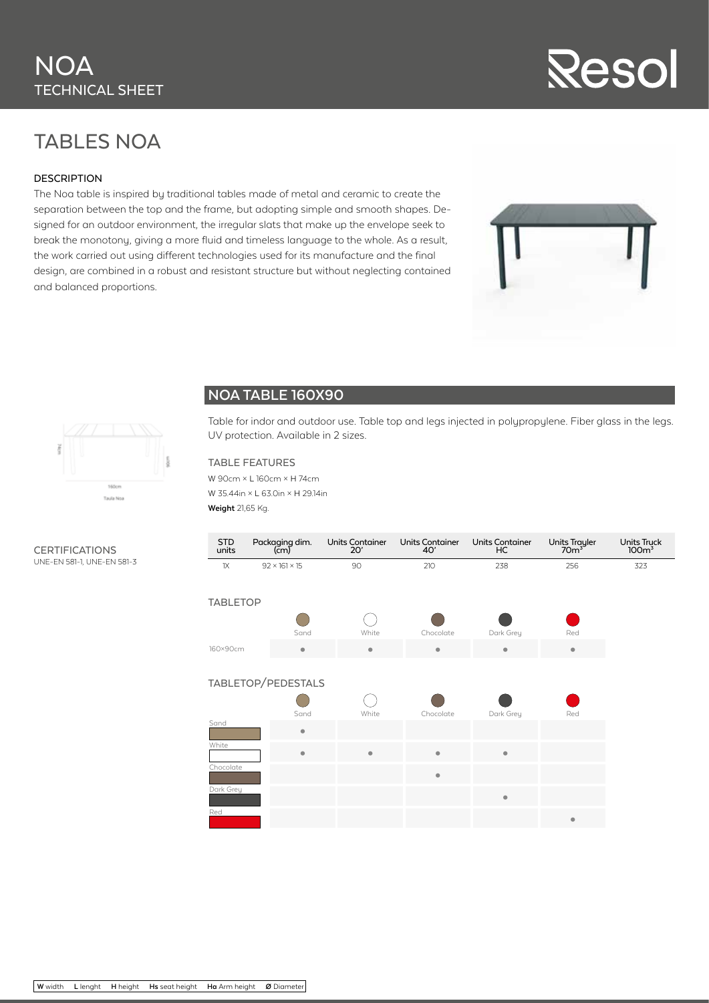### **NOA** TECHNICAL SHEET

# Resol

### TABLES NOA

#### DESCRIPTION

The Noa table is inspired by traditional tables made of metal and ceramic to create the separation between the top and the frame, but adopting simple and smooth shapes. Designed for an outdoor environment, the irregular slats that make up the envelope seek to break the monotony, giving a more fluid and timeless language to the whole. As a result, the work carried out using different technologies used for its manufacture and the final design, are combined in a robust and resistant structure but without neglecting contained and balanced proportions.





#### **NOA TABLE 160X90**

Table for indor and outdoor use. Table top and legs injected in polypropylene. Fiber glass in the legs. UV protection. Available in 2 sizes.

#### TABLE FEATURES

W 90cm × L 160cm × H 74cm W 35.44in × L 63.0in × H 29.14in **Weight** 21,65 Kg.

| <b>STD</b><br>units | Packaging dim.<br>$\mathsf{(cm)}$ | <b>Units Container</b><br>20' | <b>Units Container</b><br>40' | <b>Units Container</b><br>HC | Units Trayler<br>70m <sup>3</sup> | Units Truck<br>100 <sup>3</sup> |  |  |  |  |
|---------------------|-----------------------------------|-------------------------------|-------------------------------|------------------------------|-----------------------------------|---------------------------------|--|--|--|--|
| 1X                  | $92 \times 161 \times 15$         | 90                            | 210                           | 238                          | 256                               | 323                             |  |  |  |  |
| <b>TABLETOP</b>     |                                   |                               |                               |                              |                                   |                                 |  |  |  |  |
|                     |                                   |                               |                               |                              |                                   |                                 |  |  |  |  |
|                     | Sand                              | White                         | Chocolate                     | Dark Grey                    | Red                               |                                 |  |  |  |  |
| 160×90cm            | ۰                                 | ۰                             | ۰                             | ۰                            | ۰                                 |                                 |  |  |  |  |
|                     |                                   |                               |                               |                              |                                   |                                 |  |  |  |  |
| TABLETOP/PEDESTALS  |                                   |                               |                               |                              |                                   |                                 |  |  |  |  |
|                     |                                   |                               |                               |                              |                                   |                                 |  |  |  |  |
|                     | Sand                              | White                         | Chocolate                     | Dark Grey                    | Red                               |                                 |  |  |  |  |
| Sand                | ۰                                 |                               |                               |                              |                                   |                                 |  |  |  |  |
| White               | $\bullet$                         | $\bullet$                     | $\bullet$                     | $\bullet$                    |                                   |                                 |  |  |  |  |
| Chocolate           |                                   |                               | $\bullet$                     |                              |                                   |                                 |  |  |  |  |
| Dark Grey           |                                   |                               |                               | $\qquad \qquad \bullet$      |                                   |                                 |  |  |  |  |
| Red                 |                                   |                               |                               |                              | ۰                                 |                                 |  |  |  |  |